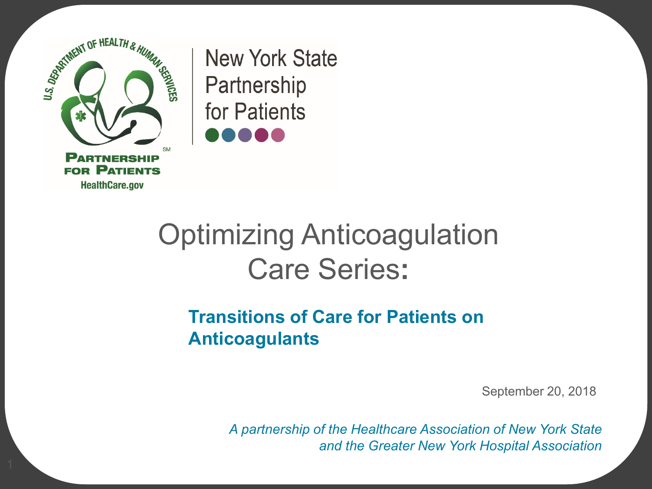

**New York State** Partnership for Patients

## Optimizing Anticoagulation Care Series**:**

#### **Transitions of Care for Patients on Anticoagulants**

September 20, 2018

*A partnership of the Healthcare Association of New York State and the Greater New York Hospital Association*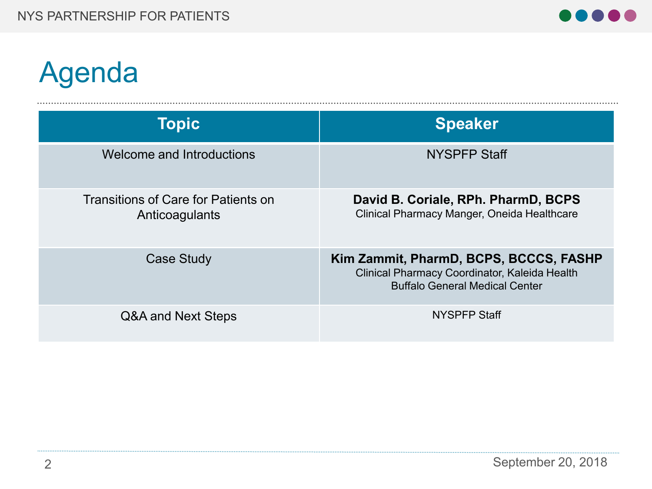

# Agenda

| Topic                                                 | <b>Speaker</b>                                                                                                                   |
|-------------------------------------------------------|----------------------------------------------------------------------------------------------------------------------------------|
| Welcome and Introductions                             | <b>NYSPFP Staff</b>                                                                                                              |
| Transitions of Care for Patients on<br>Anticoagulants | David B. Coriale, RPh. PharmD, BCPS<br>Clinical Pharmacy Manger, Oneida Healthcare                                               |
| Case Study                                            | Kim Zammit, PharmD, BCPS, BCCCS, FASHP<br>Clinical Pharmacy Coordinator, Kaleida Health<br><b>Buffalo General Medical Center</b> |
| Q&A and Next Steps                                    | <b>NYSPFP Staff</b>                                                                                                              |

........................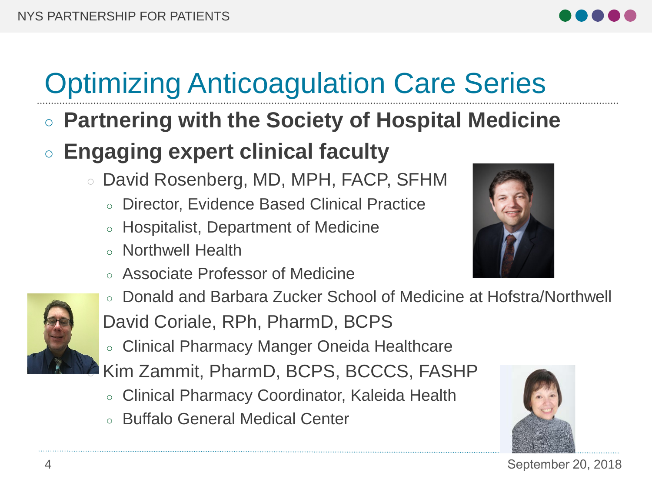

# Optimizing Anticoagulation Care Series

○ **Partnering with the Society of Hospital Medicine**

#### ○ **Engaging expert clinical faculty**

- David Rosenberg, MD, MPH, FACP, SFHM
	- Director, Evidence Based Clinical Practice
	- Hospitalist, Department of Medicine
	- Northwell Health
	- Associate Professor of Medicine





- Donald and Barbara Zucker School of Medicine at Hofstra/Northwell David Coriale, RPh, PharmD, BCPS
- Clinical Pharmacy Manger Oneida Healthcare

Kim Zammit, PharmD, BCPS, BCCCS, FASHP

- Clinical Pharmacy Coordinator, Kaleida Health
- Buffalo General Medical Center



4 September 20, 2018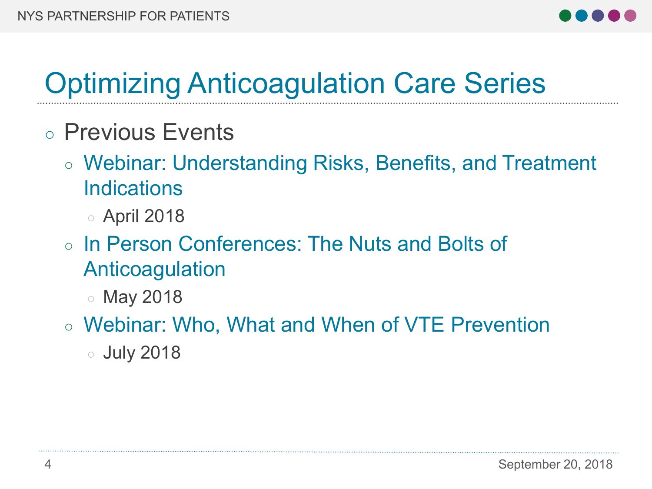

## Optimizing Anticoagulation Care Series

- Previous Events
	- Webinar: Understanding Risks, Benefits, and Treatment Indications
		- April 2018
	- In Person Conferences: The Nuts and Bolts of Anticoagulation
		- May 2018
	- Webinar: Who, What and When of VTE Prevention
		- July 2018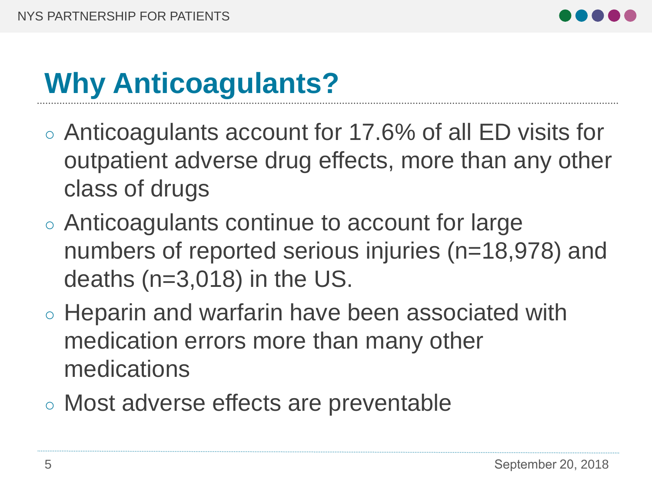

## **Why Anticoagulants?**

- Anticoagulants account for 17.6% of all ED visits for outpatient adverse drug effects, more than any other class of drugs
- Anticoagulants continue to account for large numbers of reported serious injuries (n=18,978) and deaths (n=3,018) in the US.
- Heparin and warfarin have been associated with medication errors more than many other medications
- Most adverse effects are preventable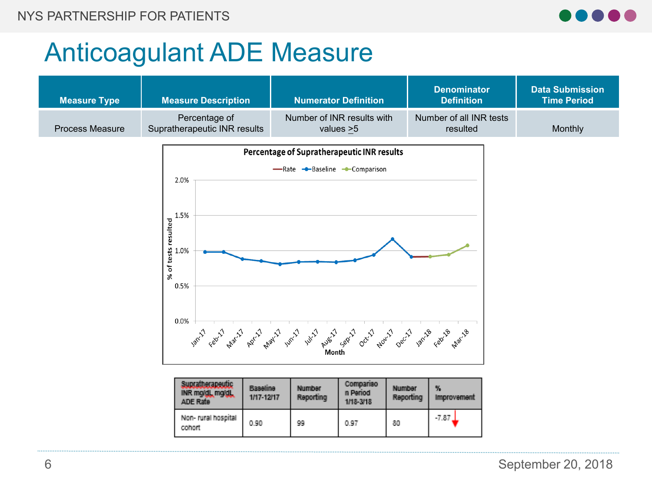

#### Anticoagulant ADE Measure

Non- rural hospital

cohort

| <b>Measure Type</b>    | <b>Measure Description</b>                                                      |                                                                                                                                                                  | <b>Numerator Definition</b>                  | <b>Denominator</b><br><b>Definition</b> | <b>Data Submission</b><br><b>Time Period</b> |
|------------------------|---------------------------------------------------------------------------------|------------------------------------------------------------------------------------------------------------------------------------------------------------------|----------------------------------------------|-----------------------------------------|----------------------------------------------|
| <b>Process Measure</b> | Percentage of<br>Supratherapeutic INR results                                   |                                                                                                                                                                  | Number of INR results with<br>values $>5$    | Number of all INR tests<br>resulted     | Monthly                                      |
|                        | 2.0%<br>1.5%<br>% of tests resulted<br>% of tests resulted<br>%<br>0.5%<br>0.0% | Percentage of Supratherapeutic INR results<br>-Rate -Baseline -Comparison<br>yan'l can'l paint paint while you are deviloped being and your can'l some can paint |                                              |                                         |                                              |
|                        | Supratherapeutic<br>INR mg/dl, mg/dl,<br>ADE Rate                               | <b>Baseline</b><br><b>Number</b><br>Reporting<br>1/17-12/17                                                                                                      | Compariso<br>Number<br>n Period<br>1/18-3/18 | %<br>Reporting<br>Improvement           |                                              |

99

0.90

 $-7.87$ 

80

0.97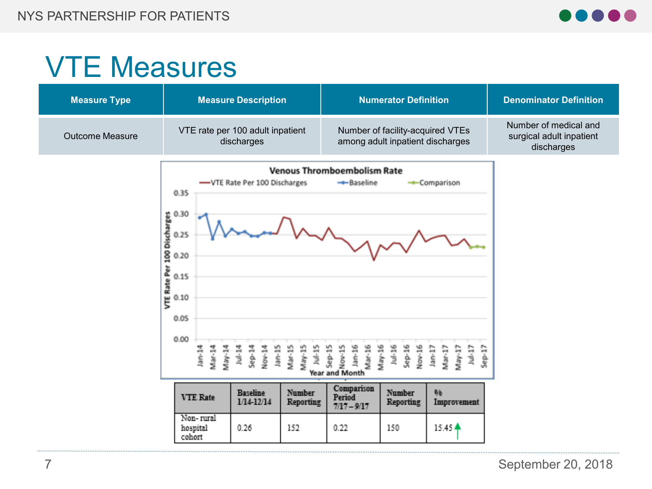

### VTE Measures

| <b>Measure Type</b>    | <b>Measure Description</b>                                                                                                                                                                                                                                                                                                                     | <b>Numerator Definition</b>                                                                                                                                                                                                                                                                                                                                                  | <b>Denominator Definition</b>                                   |
|------------------------|------------------------------------------------------------------------------------------------------------------------------------------------------------------------------------------------------------------------------------------------------------------------------------------------------------------------------------------------|------------------------------------------------------------------------------------------------------------------------------------------------------------------------------------------------------------------------------------------------------------------------------------------------------------------------------------------------------------------------------|-----------------------------------------------------------------|
| <b>Outcome Measure</b> | VTE rate per 100 adult inpatient<br>discharges                                                                                                                                                                                                                                                                                                 | Number of facility-acquired VTEs<br>among adult inpatient discharges                                                                                                                                                                                                                                                                                                         | Number of medical and<br>surgical adult inpatient<br>discharges |
|                        | -VTE Rate Per 100 Discharges<br>0.35<br>s 0.30<br>defects<br>0.25<br>0.20<br>2015<br>E 0.15<br>E 0.10<br>0.05<br>0.00<br><b>Mo-14</b><br>May-14<br>Mar-14<br>$Jan-15$<br>Mar-15<br>May-15<br>医脑膜<br><b>TH-185</b><br>Nov-14<br><b>Baseline</b><br>Number<br><b>VTE Rate</b><br>1/14-12/14<br>Reporting<br>Non-rural<br>152<br>hospital<br>0.26 | <b>Venous Thromboembolism Rate</b><br>- Baseline<br>- Comparison<br>$Jan-16$<br>Mar-16<br>May-16<br>$101 - 16$<br>Sep-16<br>Nov-16<br>$50 - 17$<br>$101 - 15$<br><b>CE-RN</b><br>Sep-15<br>Nov-15<br>$Jan-17$<br>Mar-17<br>May-17<br>Year and Month<br>Comparison<br>Number<br>96<br>Period<br>Reporting<br>Improvement<br>$7/17 - 9/17$<br>15.45 $\triangle$<br>0.22<br>150 |                                                                 |
|                        | cohort                                                                                                                                                                                                                                                                                                                                         |                                                                                                                                                                                                                                                                                                                                                                              |                                                                 |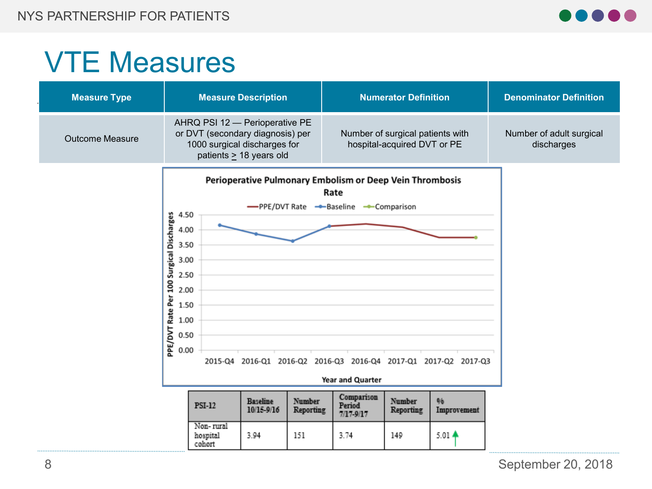

### VTE Measures

| <b>Measure Type</b>    |                                                                                             |                                                                                                    | <b>Measure Description</b>    |                     |                                                                                                         | <b>Numerator Definition</b>                                     |                                                                 | <b>Denominator Definition</b>          |
|------------------------|---------------------------------------------------------------------------------------------|----------------------------------------------------------------------------------------------------|-------------------------------|---------------------|---------------------------------------------------------------------------------------------------------|-----------------------------------------------------------------|-----------------------------------------------------------------|----------------------------------------|
| <b>Outcome Measure</b> |                                                                                             | AHRQ PSI 12 - Perioperative PE<br>or DVT (secondary diagnosis) per<br>1000 surgical discharges for | patients $\geq$ 18 years old  |                     |                                                                                                         | Number of surgical patients with<br>hospital-acquired DVT or PE |                                                                 | Number of adult surgical<br>discharges |
|                        | Surgical Discharges<br>2.50<br><b>200</b><br>2.00<br>Per<br>Rate<br>1.00<br>PPE/DVT<br>0.00 | 4.50<br>4.00<br>3.50<br>3.00<br>1.50<br>0.50                                                       |                               |                     | Perioperative Pulmonary Embolism or Deep Vein Thrombosis<br>Rate<br>-PPE/DVT Rate -Baseline -Comparison |                                                                 | 2015-Q4 2016-Q1 2016-Q2 2016-Q3 2016-Q4 2017-Q1 2017-Q2 2017-Q3 |                                        |
|                        |                                                                                             |                                                                                                    |                               |                     | Year and Quarter                                                                                        |                                                                 |                                                                 |                                        |
|                        |                                                                                             | <b>PSI-12</b>                                                                                      | <b>Baseline</b><br>10/15-9/16 | Number<br>Reporting | Comparison<br>Period<br>7/17-9/17                                                                       | Number<br>Reporting                                             | 96<br>Improvement                                               |                                        |
|                        |                                                                                             | Non-rural<br>hospital<br>cohort                                                                    | 3.94                          | 151                 | 3.74                                                                                                    | 149                                                             | $5.01 -$                                                        |                                        |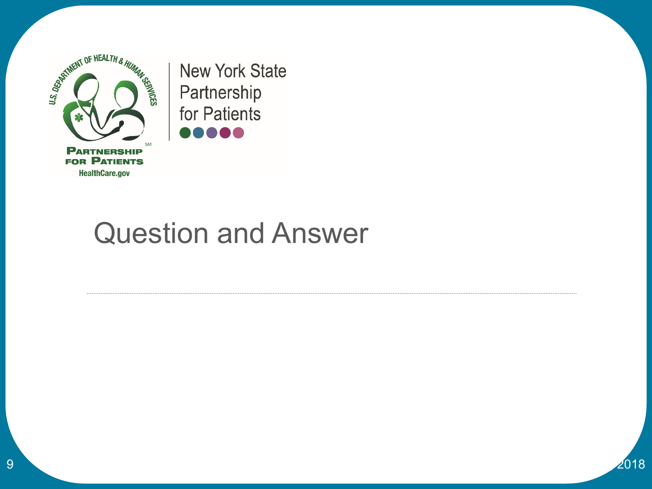

**New York State** Partnership for Patients ,,,,,

### Question and Answer